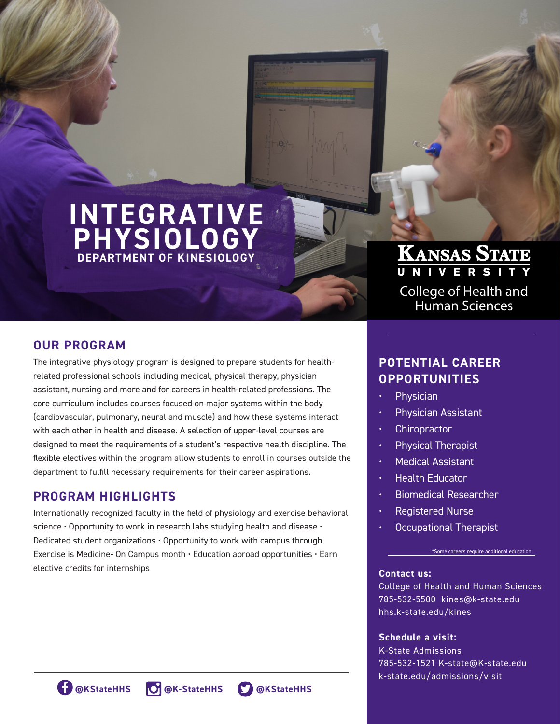# **INTEGRATIVE PHYSIOLOGY DEPARTMENT OF KINESIOLOGY**

# **OUR PROGRAM**

The integrative physiology program is designed to prepare students for healthrelated professional schools including medical, physical therapy, physician assistant, nursing and more and for careers in health-related professions. The core curriculum includes courses focused on major systems within the body (cardiovascular, pulmonary, neural and muscle) and how these systems interact with each other in health and disease. A selection of upper-level courses are designed to meet the requirements of a student's respective health discipline. The flexible electives within the program allow students to enroll in courses outside the department to fulfill necessary requirements for their career aspirations.

# **PROGRAM HIGHLIGHTS**

Internationally recognized faculty in the field of physiology and exercise behavioral science · Opportunity to work in research labs studying health and disease · Dedicated student organizations • Opportunity to work with campus through Exercise is Medicine- On Campus month • Education abroad opportunities • Earn elective credits for internships

# **KANSAS STATE**

College of Health and Human Sciences

# **POTENTIAL CAREER OPPORTUNITIES**

- **Physician**
- Physician Assistant
- **Chiropractor**
- Physical Therapist
- Medical Assistant
- Health Educator
- Biomedical Researcher
- Registered Nurse
- Occupational Therapist

#### \*Some careers require additional education

#### **Contact us:**

College of Health and Human Sciences 785-532-5500 kines@k-state.edu hhs.k-state.edu/kines

#### **Schedule a visit:**

K-State Admissions 785-532-1521 K-state@K-state.edu k-state.edu/admissions/visit